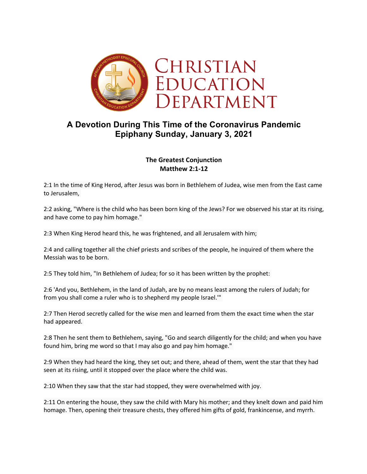

# **A Devotion During This Time of the Coronavirus Pandemic Epiphany Sunday, January 3, 2021**

# **The Greatest Conjunction Matthew 2:1-12**

2:1 In the time of King Herod, after Jesus was born in Bethlehem of Judea, wise men from the East came to Jerusalem,

2:2 asking, "Where is the child who has been born king of the Jews? For we observed his star at its rising, and have come to pay him homage."

2:3 When King Herod heard this, he was frightened, and all Jerusalem with him;

2:4 and calling together all the chief priests and scribes of the people, he inquired of them where the Messiah was to be born.

2:5 They told him, "In Bethlehem of Judea; for so it has been written by the prophet:

2:6 'And you, Bethlehem, in the land of Judah, are by no means least among the rulers of Judah; for from you shall come a ruler who is to shepherd my people Israel.'"

2:7 Then Herod secretly called for the wise men and learned from them the exact time when the star had appeared.

2:8 Then he sent them to Bethlehem, saying, "Go and search diligently for the child; and when you have found him, bring me word so that I may also go and pay him homage."

2:9 When they had heard the king, they set out; and there, ahead of them, went the star that they had seen at its rising, until it stopped over the place where the child was.

2:10 When they saw that the star had stopped, they were overwhelmed with joy.

2:11 On entering the house, they saw the child with Mary his mother; and they knelt down and paid him homage. Then, opening their treasure chests, they offered him gifts of gold, frankincense, and myrrh.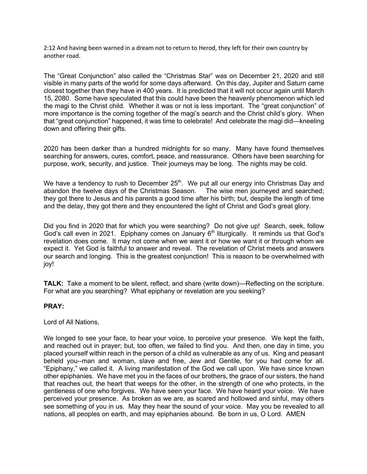2:12 And having been warned in a dream not to return to Herod, they left for their own country by another road.

The "Great Conjunction" also called the "Christmas Star" was on December 21, 2020 and still visible in many parts of the world for some days afterward. On this day, Jupiter and Saturn came closest together than they have in 400 years. It is predicted that it will not occur again until March 15, 2080. Some have speculated that this could have been the heavenly phenomenon which led the magi to the Christ child. Whether it was or not is less important. The "great conjunction" of more importance is the coming together of the magi's search and the Christ child's glory. When that "great conjunction" happened, it was time to celebrate! And celebrate the magi did—kneeling down and offering their gifts.

2020 has been darker than a hundred midnights for so many. Many have found themselves searching for answers, cures, comfort, peace, and reassurance. Others have been searching for purpose, work, security, and justice. Their journeys may be long. The nights may be cold.

We have a tendency to rush to December  $25<sup>th</sup>$ . We put all our energy into Christmas Day and abandon the twelve days of the Christmas Season. The wise men journeyed and searched; they got there to Jesus and his parents a good time after his birth; but, despite the length of time and the delay, they got there and they encountered the light of Christ and God's great glory.

Did you find in 2020 that for which you were searching? Do not give up! Search, seek, follow God's call even in 2021. Epiphany comes on January  $6<sup>th</sup>$  liturgically. It reminds us that God's revelation does come. It may not come when we want it or how we want it or through whom we expect it. Yet God is faithful to answer and reveal. The revelation of Christ meets and answers our search and longing. This is the greatest conjunction! This is reason to be overwhelmed with joy!

**TALK:** Take a moment to be silent, reflect, and share (write down)—Reflecting on the scripture. For what are you searching? What epiphany or revelation are you seeking?

#### **PRAY:**

Lord of All Nations,

We longed to see your face, to hear your voice, to perceive your presence. We kept the faith, and reached out in prayer; but, too often, we failed to find you. And then, one day in time, you placed yourself within reach in the person of a child as vulnerable as any of us. King and peasant beheld you--man and woman, slave and free, Jew and Gentile, for you had come for all. "Epiphany," we called it. A living manifestation of the God we call upon. We have since known other epiphanies. We have met you in the faces of our brothers, the grace of our sisters, the hand that reaches out, the heart that weeps for the other, in the strength of one who protects, in the gentleness of one who forgives. We have seen your face. We have heard your voice. We have perceived your presence. As broken as we are, as scared and hollowed and sinful, may others see something of you in us. May they hear the sound of your voice. May you be revealed to all nations, all peoples on earth, and may epiphanies abound. Be born in us, O Lord. AMEN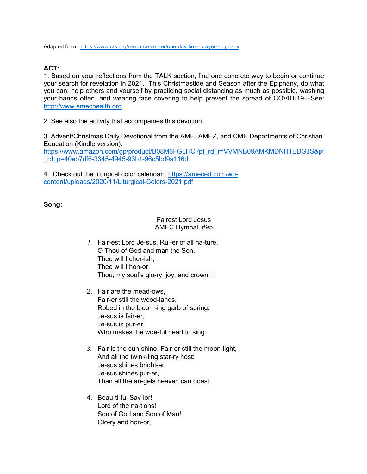Adapted from: https://www.crs.org/resource-center/one-day-time-prayer-epiphany

## **ACT:**

1. Based on your reflections from the TALK section, find one concrete way to begin or continue your search for revelation in 2021. This Christmastide and Season after the Epiphany, do what you can; help others and yourself by practicing social distancing as much as possible, washing your hands often, and wearing face covering to help prevent the spread of COVID-19—See: http://www.amechealth.org.

2. See also the activity that accompanies this devotion.

3. Advent/Christmas Daily Devotional from the AME, AMEZ, and CME Departments of Christian Education (Kindle version):

https://www.amazon.com/gp/product/B08M6FGLHC?pf\_rd\_r=VVMNB09AMKMDNH1EDGJS&pf \_rd\_p=40eb7df6-3345-4945-93b1-96c5bd9a116d

4. Check out the liturgical color calendar: https://ameced.com/wpcontent/uploads/2020/11/Liturgical-Colors-2021.pdf

## **Song:**

#### Fairest Lord Jesus AMEC Hymnal, #95

- *1.* Fair-est Lord Je-sus, Rul-er of all na-ture, O Thou of God and man the Son, Thee will I cher-ish, Thee will I hon-or, Thou, my soul's glo-ry, joy, and crown.
- 2. Fair are the mead-ows, Fair-er still the wood-lands, Robed in the bloom-ing garb of spring: Je-sus is fair-er, Je-sus is pur-er, Who makes the woe-ful heart to sing.
- 3. Fair is the sun-shine, Fair-er still the moon-light, And all the twink-ling star-ry host: Je-sus shines bright-er, Je-sus shines pur-er, Than all the an-gels heaven can boast.
- 4. Beau-ti-ful Sav-ior! Lord of the na-tions! Son of God and Son of Man! Glo-ry and hon-or,